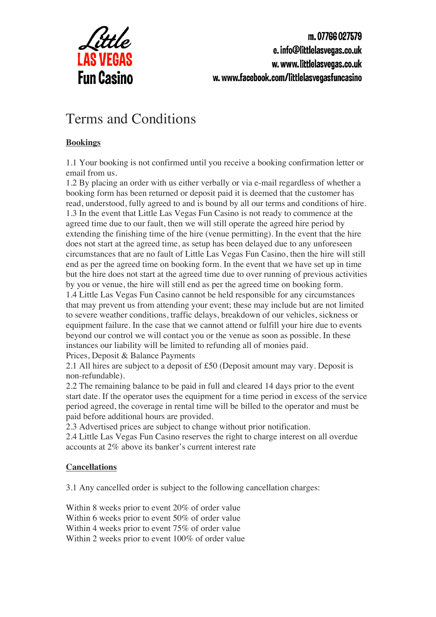

m.07766027579 e. info@littlelasvegas.co.uk w.www.littlelasvegas.co.uk w.www.facebook.com/littlelasvegasfuncasino

# Terms and Conditions

## **Bookings**

1.1 Your booking is not confirmed until you receive a booking confirmation letter or email from us.

1.2 By placing an order with us either verbally or via e-mail regardless of whether a booking form has been returned or deposit paid it is deemed that the customer has read, understood, fully agreed to and is bound by all our terms and conditions of hire. 1.3 In the event that Little Las Vegas Fun Casino is not ready to commence at the agreed time due to our fault, then we will still operate the agreed hire period by extending the finishing time of the hire (venue permitting). In the event that the hire does not start at the agreed time, as setup has been delayed due to any unforeseen circumstances that are no fault of Little Las Vegas Fun Casino, then the hire will still end as per the agreed time on booking form. In the event that we have set up in time but the hire does not start at the agreed time due to over running of previous activities by you or venue, the hire will still end as per the agreed time on booking form. 1.4 Little Las Vegas Fun Casino cannot be held responsible for any circumstances that may prevent us from attending your event; these may include but are not limited to severe weather conditions, traffic delays, breakdown of our vehicles, sickness or equipment failure. In the case that we cannot attend or fulfill your hire due to events beyond our control we will contact you or the venue as soon as possible. In these instances our liability will be limited to refunding all of monies paid. Prices, Deposit & Balance Payments

2.1 All hires are subject to a deposit of £50 (Deposit amount may vary. Deposit is non-refundable).

2.2 The remaining balance to be paid in full and cleared 14 days prior to the event start date. If the operator uses the equipment for a time period in excess of the service period agreed, the coverage in rental time will be billed to the operator and must be paid before additional hours are provided.

2.3 Advertised prices are subject to change without prior notification.

2.4 Little Las Vegas Fun Casino reserves the right to charge interest on all overdue accounts at 2% above its banker's current interest rate

## **Cancellations**

3.1 Any cancelled order is subject to the following cancellation charges:

Within 8 weeks prior to event 20% of order value Within 6 weeks prior to event 50% of order value Within 4 weeks prior to event 75% of order value Within 2 weeks prior to event 100% of order value